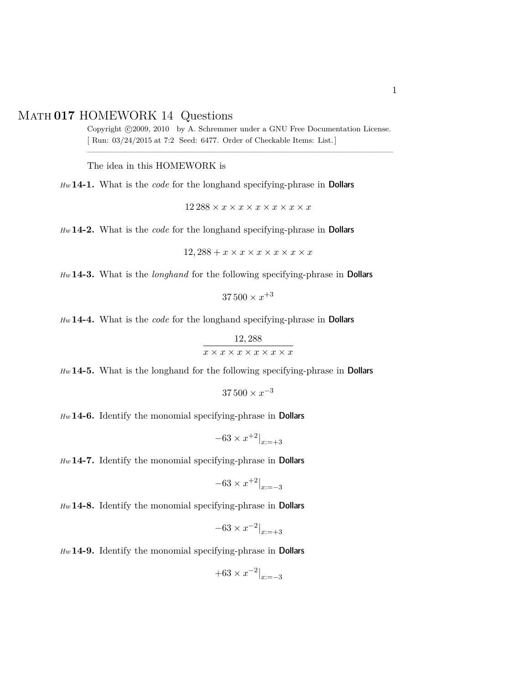## Math **017** HOMEWORK 14 Questions

Copyright ©2009, 2010 by A. Schremmer under a GNU Free Documentation License. [ Run: 03/24/2015 at 7:2 Seed: 6477. Order of Checkable Items: List.] ————————————————————————————————–

The idea in this HOMEWORK is

*Hw* **14-1.** What is the *code* for the longhand specifying-phrase in Dollars

 $12\,288 \times x \times x \times x \times x \times x \times x$ 

*Hw* **14-2.** What is the *code* for the longhand specifying-phrase in Dollars

$$
12,288 + x \times x \times x \times x \times x \times x
$$

*Hw* **14-3.** What is the *longhand* for the following specifying-phrase in Dollars

 $37\,500 \times x^{+3}$ 

*Hw* **14-4.** What is the *code* for the longhand specifying-phrase in Dollars

$$
\frac{12,288}{x \times x \times x \times x \times x \times x}
$$

*Hw* **14-5.** What is the longhand for the following specifying-phrase in Dollars

 $37\,500 \times x^{-3}$ 

*Hw* **14-6.** Identify the monomial specifying-phrase in Dollars

$$
-63 \times x^{+2}|_{x:=+3}
$$

*Hw* **14-7.** Identify the monomial specifying-phrase in Dollars

$$
-63 \times x^{+2}|_{x=-3}
$$

*Hw* **14-8.** Identify the monomial specifying-phrase in Dollars

$$
-63 \times x^{-2} \vert_{x:=+3}
$$

*Hw* **14-9.** Identify the monomial specifying-phrase in Dollars

$$
+63 \times x^{-2}|_{x=-3}
$$